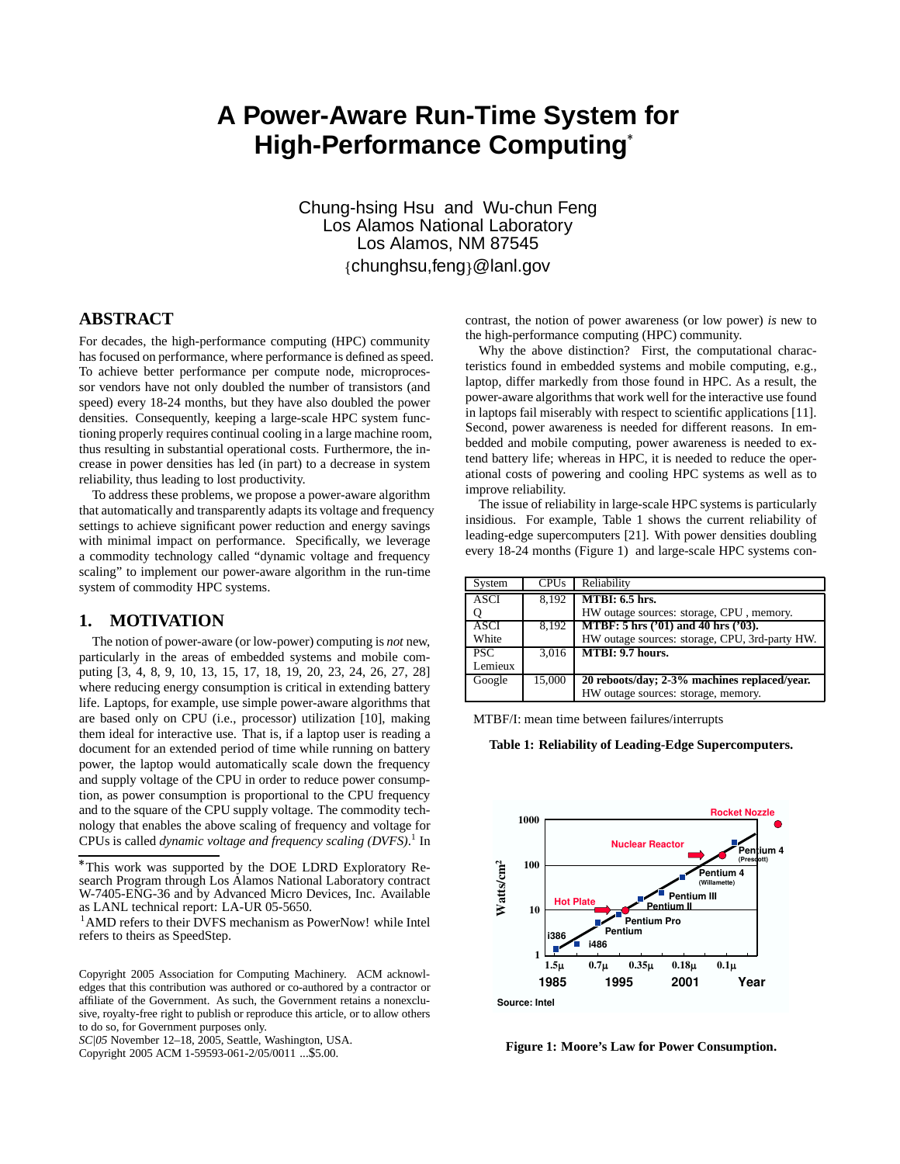# **A Power-Aware Run-Time System for High-Performance Computing**

Chung-hsing Hsu and Wu-chun Feng Los Alamos National Laboratory Los Alamos, NM 87545 chunghsu,feng-@lanl.gov

# **ABSTRACT**

For decades, the high-performance computing (HPC) community has focused on performance, where performance is defined as speed. To achieve better performance per compute node, microprocessor vendors have not only doubled the number of transistors (and speed) every 18-24 months, but they have also doubled the power densities. Consequently, keeping a large-scale HPC system functioning properly requires continual cooling in a large machine room, thus resulting in substantial operational costs. Furthermore, the increase in power densities has led (in part) to a decrease in system reliability, thus leading to lost productivity.

To address these problems, we propose a power-aware algorithm that automatically and transparently adapts its voltage and frequency settings to achieve significant power reduction and energy savings with minimal impact on performance. Specifically, we leverage a commodity technology called "dynamic voltage and frequency scaling" to implement our power-aware algorithm in the run-time system of commodity HPC systems.

## **1. MOTIVATION**

The notion of power-aware (or low-power) computing is *not* new, particularly in the areas of embedded systems and mobile computing [3, 4, 8, 9, 10, 13, 15, 17, 18, 19, 20, 23, 24, 26, 27, 28] where reducing energy consumption is critical in extending battery life. Laptops, for example, use simple power-aware algorithms that are based only on CPU (i.e., processor) utilization [10], making them ideal for interactive use. That is, if a laptop user is reading a document for an extended period of time while running on battery power, the laptop would automatically scale down the frequency and supply voltage of the CPU in order to reduce power consumption, as power consumption is proportional to the CPU frequency and to the square of the CPU supply voltage. The commodity technology that enables the above scaling of frequency and voltage for CPUs is called *dynamic voltage and frequency scaling (DVFS)*. 1 In

*SC|05* November 12–18, 2005, Seattle, Washington, USA.

Copyright 2005 ACM 1-59593-061-2/05/0011 ...\$5.00.

contrast, the notion of power awareness (or low power) *is* new to the high-performance computing (HPC) community.

Why the above distinction? First, the computational characteristics found in embedded systems and mobile computing, e.g., laptop, differ markedly from those found in HPC. As a result, the power-aware algorithms that work well for the interactive use found in laptops fail miserably with respect to scientific applications [11]. Second, power awareness is needed for different reasons. In embedded and mobile computing, power awareness is needed to extend battery life; whereas in HPC, it is needed to reduce the operational costs of powering and cooling HPC systems as well as to improve reliability.

The issue of reliability in large-scale HPC systems is particularly insidious. For example, Table 1 shows the current reliability of leading-edge supercomputers [21]. With power densities doubling every 18-24 months (Figure 1) and large-scale HPC systems con-

| System      | <b>CPUs</b> | Reliability                                    |
|-------------|-------------|------------------------------------------------|
| <b>ASCI</b> | 8.192       | $MTBI: 6.5$ hrs.                               |
|             |             | HW outage sources: storage, CPU, memory.       |
| ASCI        | 8,192       | MTBF: 5 hrs ('01) and 40 hrs ('03).            |
| White       |             | HW outage sources: storage, CPU, 3rd-party HW. |
| <b>PSC</b>  | 3.016       | MTBI: 9.7 hours.                               |
| Lemieux     |             |                                                |
| Google      | 15,000      | 20 reboots/day; 2-3% machines replaced/year.   |
|             |             | HW outage sources: storage, memory.            |

MTBF/I: mean time between failures/interrupts

**Table 1: Reliability of Leading-Edge Supercomputers.**



**Figure 1: Moore's Law for Power Consumption.**

This work was supported by the DOE LDRD Exploratory Research Program through Los Alamos National Laboratory contract W-7405-ENG-36 and by Advanced Micro Devices, Inc. Available as LANL technical report: LA-UR 05-5650.

<sup>&</sup>lt;sup>1</sup> AMD refers to their DVFS mechanism as PowerNow! while Intel refers to theirs as SpeedStep.

Copyright 2005 Association for Computing Machinery. ACM acknowledges that this contribution was authored or co-authored by a contractor or affiliate of the Government. As such, the Government retains a nonexclusive, royalty-free right to publish or reproduce this article, or to allow others to do so, for Government purposes only.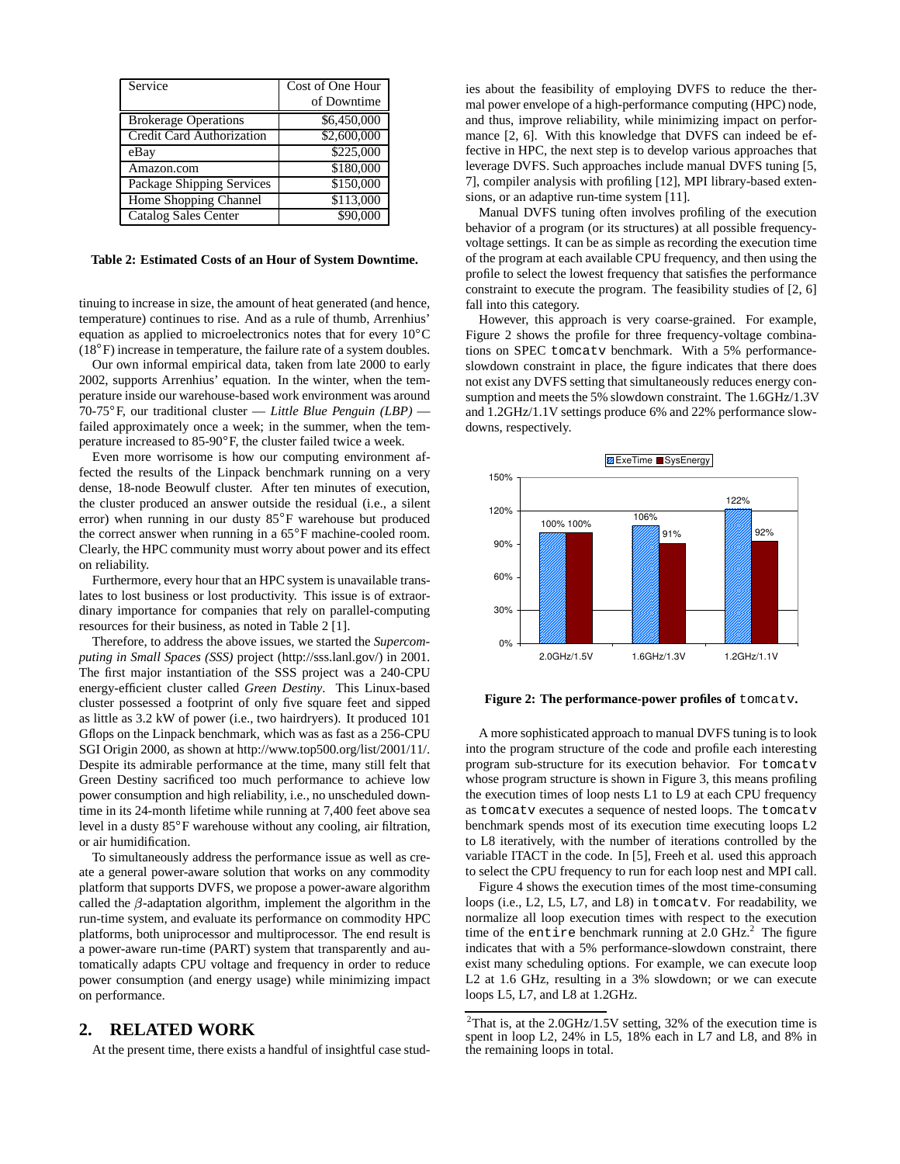| Service                          | Cost of One Hour |
|----------------------------------|------------------|
|                                  | of Downtime      |
| <b>Brokerage Operations</b>      | \$6,450,000      |
| <b>Credit Card Authorization</b> | \$2,600,000      |
| eBay                             | \$225,000        |
| Amazon.com                       | \$180,000        |
| Package Shipping Services        | \$150,000        |
| Home Shopping Channel            | \$113,000        |
| <b>Catalog Sales Center</b>      | \$90,000         |

#### **Table 2: Estimated Costs of an Hour of System Downtime.**

tinuing to increase in size, the amount of heat generated (and hence, temperature) continues to rise. And as a rule of thumb, Arrenhius' equation as applied to microelectronics notes that for every  $10^{\circ}$ C  $(18<sup>°</sup>F)$  increase in temperature, the failure rate of a system doubles.

Our own informal empirical data, taken from late 2000 to early 2002, supports Arrenhius' equation. In the winter, when the temperature inside our warehouse-based work environment was around 70-75 F, our traditional cluster — *Little Blue Penguin (LBP)* failed approximately once a week; in the summer, when the temperature increased to 85-90 F, the cluster failed twice a week.

Even more worrisome is how our computing environment affected the results of the Linpack benchmark running on a very dense, 18-node Beowulf cluster. After ten minutes of execution, the cluster produced an answer outside the residual (i.e., a silent error) when running in our dusty  $85^{\circ}$ F warehouse but produced the correct answer when running in a  $65^{\circ}$ F machine-cooled room. Clearly, the HPC community must worry about power and its effect on reliability.

Furthermore, every hour that an HPC system is unavailable translates to lost business or lost productivity. This issue is of extraordinary importance for companies that rely on parallel-computing resources for their business, as noted in Table 2 [1].

Therefore, to address the above issues, we started the *Supercomputing in Small Spaces (SSS)* project (http://sss.lanl.gov/) in 2001. The first major instantiation of the SSS project was a 240-CPU energy-efficient cluster called *Green Destiny*. This Linux-based cluster possessed a footprint of only five square feet and sipped as little as 3.2 kW of power (i.e., two hairdryers). It produced 101 Gflops on the Linpack benchmark, which was as fast as a 256-CPU SGI Origin 2000, as shown at http://www.top500.org/list/2001/11/. Despite its admirable performance at the time, many still felt that Green Destiny sacrificed too much performance to achieve low power consumption and high reliability, i.e., no unscheduled downtime in its 24-month lifetime while running at 7,400 feet above sea level in a dusty 85°F warehouse without any cooling, air filtration, or air humidification.

To simultaneously address the performance issue as well as create a general power-aware solution that works on any commodity platform that supports DVFS, we propose a power-aware algorithm called the  $\beta$ -adaptation algorithm, implement the algorithm in the run-time system, and evaluate its performance on commodity HPC platforms, both uniprocessor and multiprocessor. The end result is a power-aware run-time (PART) system that transparently and automatically adapts CPU voltage and frequency in order to reduce power consumption (and energy usage) while minimizing impact on performance.

# **2. RELATED WORK**

At the present time, there exists a handful of insightful case stud-

ies about the feasibility of employing DVFS to reduce the thermal power envelope of a high-performance computing (HPC) node, and thus, improve reliability, while minimizing impact on performance [2, 6]. With this knowledge that DVFS can indeed be effective in HPC, the next step is to develop various approaches that leverage DVFS. Such approaches include manual DVFS tuning [5, 7], compiler analysis with profiling [12], MPI library-based extensions, or an adaptive run-time system [11].

Manual DVFS tuning often involves profiling of the execution behavior of a program (or its structures) at all possible frequencyvoltage settings. It can be as simple as recording the execution time of the program at each available CPU frequency, and then using the profile to select the lowest frequency that satisfies the performance constraint to execute the program. The feasibility studies of [2, 6] fall into this category.

However, this approach is very coarse-grained. For example, Figure 2 shows the profile for three frequency-voltage combinations on SPEC tomcatv benchmark. With a 5% performanceslowdown constraint in place, the figure indicates that there does not exist any DVFS setting that simultaneously reduces energy consumption and meets the 5% slowdown constraint. The 1.6GHz/1.3V and 1.2GHz/1.1V settings produce 6% and 22% performance slowdowns, respectively.



**Figure 2: The performance-power profiles of** tomcatv**.**

A more sophisticated approach to manual DVFS tuning is to look into the program structure of the code and profile each interesting program sub-structure for its execution behavior. For tomcatv whose program structure is shown in Figure 3, this means profiling the execution times of loop nests L1 to L9 at each CPU frequency as tomcatv executes a sequence of nested loops. The tomcatv benchmark spends most of its execution time executing loops L2 to L8 iteratively, with the number of iterations controlled by the variable ITACT in the code. In [5], Freeh et al. used this approach to select the CPU frequency to run for each loop nest and MPI call.

Figure 4 shows the execution times of the most time-consuming loops (i.e., L2, L5, L7, and L8) in tomcatv. For readability, we normalize all loop execution times with respect to the execution time of the entire benchmark running at  $2.0$  GHz.<sup>2</sup> The figure indicates that with a 5% performance-slowdown constraint, there exist many scheduling options. For example, we can execute loop L2 at 1.6 GHz, resulting in a 3% slowdown; or we can execute loops L5, L7, and L8 at 1.2GHz.

 $2$ That is, at the 2.0GHz/1.5V setting, 32% of the execution time is spent in loop L2, 24% in L5, 18% each in L7 and L8, and 8% in the remaining loops in total.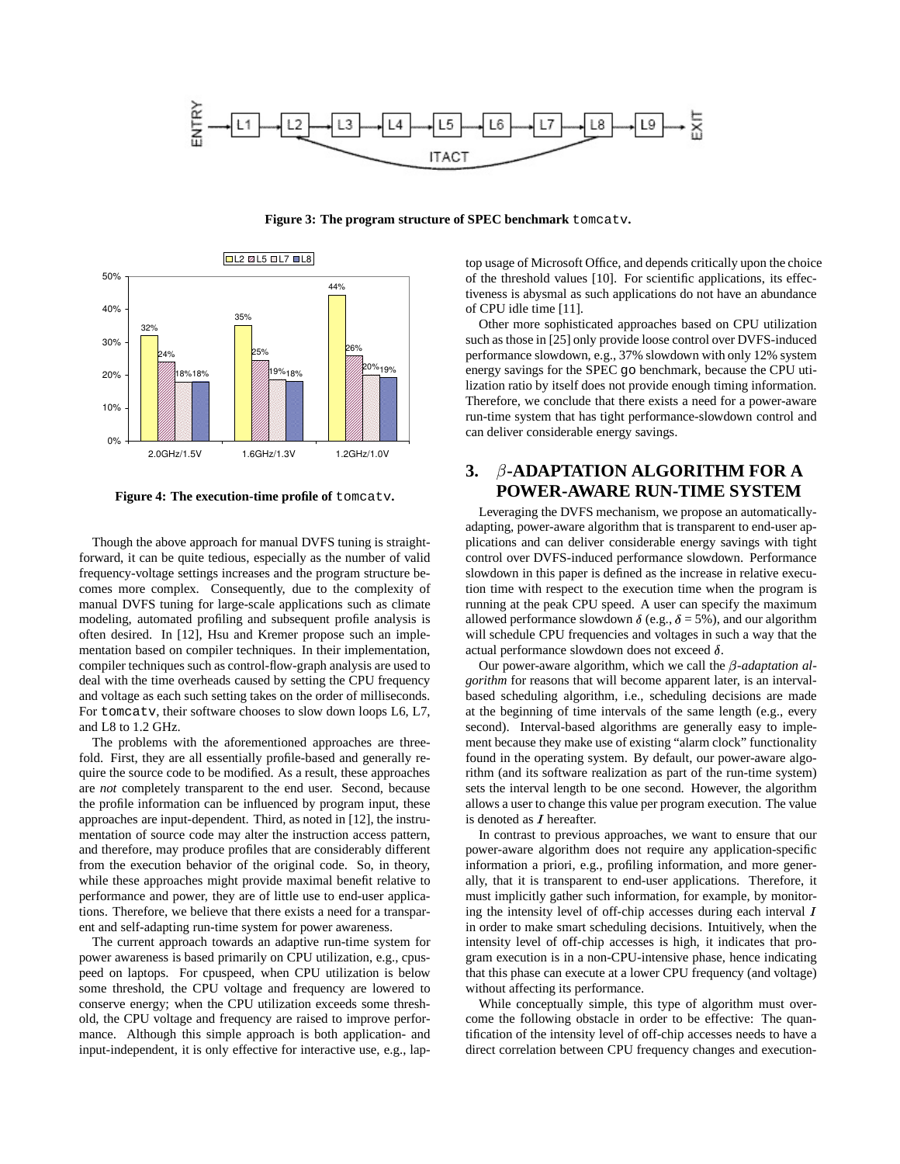

**Figure 3: The program structure of SPEC benchmark** tomcatv**.**





Though the above approach for manual DVFS tuning is straightforward, it can be quite tedious, especially as the number of valid frequency-voltage settings increases and the program structure becomes more complex. Consequently, due to the complexity of manual DVFS tuning for large-scale applications such as climate modeling, automated profiling and subsequent profile analysis is often desired. In [12], Hsu and Kremer propose such an implementation based on compiler techniques. In their implementation, compiler techniques such as control-flow-graph analysis are used to deal with the time overheads caused by setting the CPU frequency and voltage as each such setting takes on the order of milliseconds. For tomcatv, their software chooses to slow down loops L6, L7, and L8 to 1.2 GHz.

The problems with the aforementioned approaches are threefold. First, they are all essentially profile-based and generally require the source code to be modified. As a result, these approaches are *not* completely transparent to the end user. Second, because the profile information can be influenced by program input, these approaches are input-dependent. Third, as noted in [12], the instrumentation of source code may alter the instruction access pattern, and therefore, may produce profiles that are considerably different from the execution behavior of the original code. So, in theory, while these approaches might provide maximal benefit relative to performance and power, they are of little use to end-user applications. Therefore, we believe that there exists a need for a transparent and self-adapting run-time system for power awareness.

The current approach towards an adaptive run-time system for power awareness is based primarily on CPU utilization, e.g., cpuspeed on laptops. For cpuspeed, when CPU utilization is below some threshold, the CPU voltage and frequency are lowered to conserve energy; when the CPU utilization exceeds some threshold, the CPU voltage and frequency are raised to improve performance. Although this simple approach is both application- and input-independent, it is only effective for interactive use, e.g., laptop usage of Microsoft Office, and depends critically upon the choice of the threshold values [10]. For scientific applications, its effectiveness is abysmal as such applications do not have an abundance of CPU idle time [11].

Other more sophisticated approaches based on CPU utilization such as those in [25] only provide loose control over DVFS-induced performance slowdown, e.g., 37% slowdown with only 12% system energy savings for the SPEC go benchmark, because the CPU utilization ratio by itself does not provide enough timing information. Therefore, we conclude that there exists a need for a power-aware run-time system that has tight performance-slowdown control and can deliver considerable energy savings.

# **3. -ADAPTATION ALGORITHM FOR A POWER-AWARE RUN-TIME SYSTEM**

Leveraging the DVFS mechanism, we propose an automaticallyadapting, power-aware algorithm that is transparent to end-user applications and can deliver considerable energy savings with tight control over DVFS-induced performance slowdown. Performance slowdown in this paper is defined as the increase in relative execution time with respect to the execution time when the program is running at the peak CPU speed. A user can specify the maximum allowed performance slowdown  $\delta$  (e.g.,  $\delta$  = 5%), and our algorithm will schedule CPU frequencies and voltages in such a way that the actual performance slowdown does not exceed  $\delta$ .

Our power-aware algorithm, which we call the  $\beta$ -adaptation al*gorithm* for reasons that will become apparent later, is an intervalbased scheduling algorithm, i.e., scheduling decisions are made at the beginning of time intervals of the same length (e.g., every second). Interval-based algorithms are generally easy to implement because they make use of existing "alarm clock" functionality found in the operating system. By default, our power-aware algorithm (and its software realization as part of the run-time system) sets the interval length to be one second. However, the algorithm allows a user to change this value per program execution. The value is denoted as  $I$  hereafter.

In contrast to previous approaches, we want to ensure that our power-aware algorithm does not require any application-specific information a priori, e.g., profiling information, and more generally, that it is transparent to end-user applications. Therefore, it must implicitly gather such information, for example, by monitoring the intensity level of off-chip accesses during each interval  $I$ in order to make smart scheduling decisions. Intuitively, when the intensity level of off-chip accesses is high, it indicates that program execution is in a non-CPU-intensive phase, hence indicating that this phase can execute at a lower CPU frequency (and voltage) without affecting its performance.

While conceptually simple, this type of algorithm must overcome the following obstacle in order to be effective: The quantification of the intensity level of off-chip accesses needs to have a direct correlation between CPU frequency changes and execution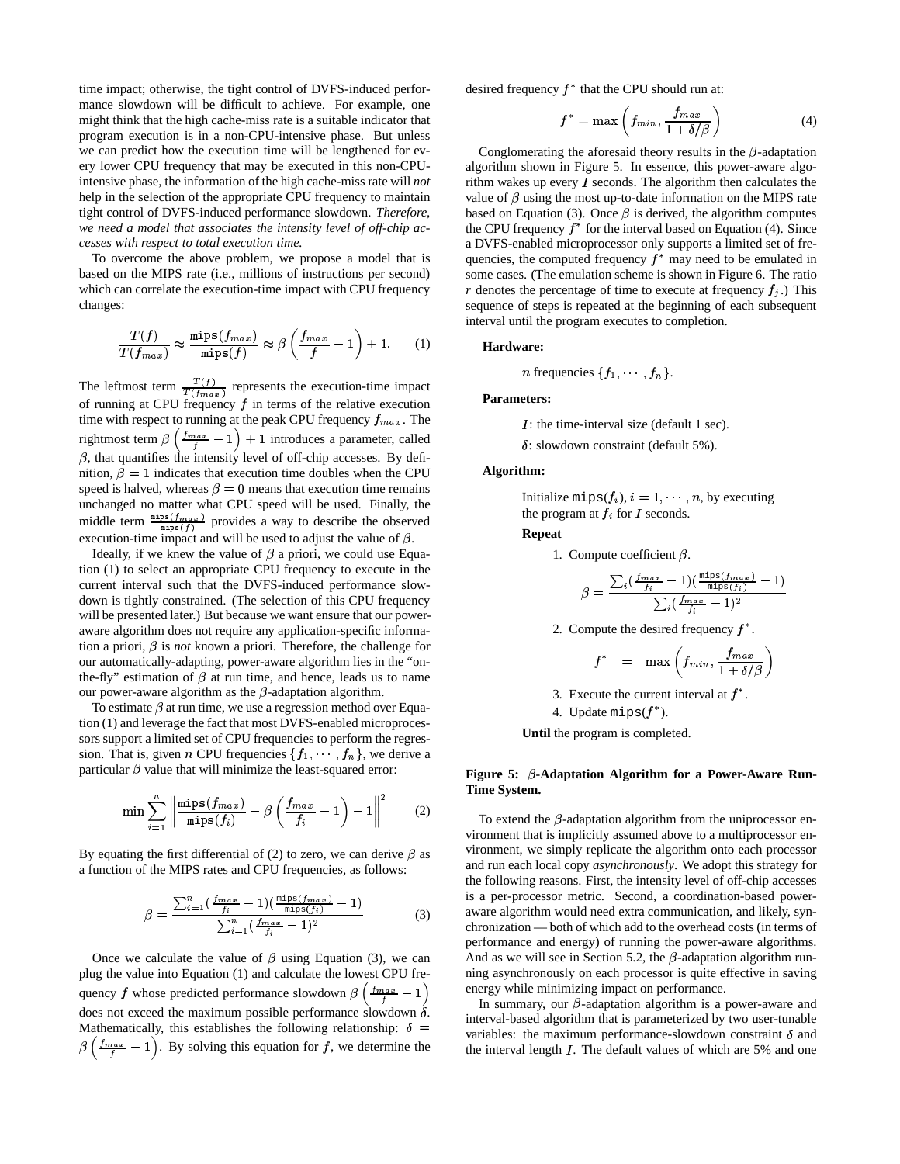time impact; otherwise, the tight control of DVFS-induced performance slowdown will be difficult to achieve. For example, one might think that the high cache-miss rate is a suitable indicator that program execution is in a non-CPU-intensive phase. But unless we can predict how the execution time will be lengthened for every lower CPU frequency that may be executed in this non-CPUintensive phase, the information of the high cache-miss rate will *not* help in the selection of the appropriate CPU frequency to maintain tight control of DVFS-induced performance slowdown. *Therefore, we need a model that associates the intensity level of off-chip accesses with respect to total execution time.*

To overcome the above problem, we propose a model that is based on the MIPS rate (i.e., millions of instructions per second) which can correlate the execution-time impact with CPU frequency changes:

$$
\frac{T(f)}{T(f_{max})} \approx \frac{\text{minps}(f_{max})}{\text{minps}(f)} \approx \beta \left(\frac{f_{max}}{f} - 1\right) + 1. \tag{1}
$$

The leftmost term  $\frac{T(f)}{T(f_m)}$  represents the execution-time impact of running at CPU frequency f in terms of the relative execution time with respect to running at the peak CPU frequency  $f_{max}$ . The rightmost term  $\beta\left(\frac{f_{max}}{f}-1\right)+1$  introd rightmost term  $\beta\left(\frac{f_{max}}{f}-1\right)+1$  introduces a parameter, called  $\beta$ , that quantifies the intensity level of off-chip accesses. By definition,  $\beta = 1$  indicates that execution time doubles when the CPU speed is halved, whereas  $\beta = 0$  means that execution time remains unchanged no matter what CPU speed will be used. Finally, the middle term  $\frac{\text{mps}(f) \text{m} a x}{\text{mips}(f)}$  provides a way to describe the observed execution-time impact and will be used to adjust the value of  $\beta$ .

Ideally, if we knew the value of  $\beta$  a priori, we could use Equation (1) to select an appropriate CPU frequency to execute in the current interval such that the DVFS-induced performance slowdown is tightly constrained. (The selection of this CPU frequency will be presented later.) But because we want ensure that our poweraware algorithm does not require any application-specific information a priori,  $\beta$  is *not* known a priori. Therefore, the challenge for our automatically-adapting, power-aware algorithm lies in the "onthe-fly" estimation of  $\beta$  at run time, and hence, leads us to name our power-aware algorithm as the  $\beta$ -adaptation algorithm.

To estimate  $\beta$  at run time, we use a regression method over Equation (1) and leverage the fact that most DVFS-enabled microprocessors support a limited set of CPU frequencies to perform the regression. That is, given *n* CPU frequencies  $\{f_1, \dots, f_n\}$ , we derive a particular  $\beta$  value that will minimize the least-squared error:

$$
\min \sum_{i=1}^{n} \left\| \frac{\text{minps}(f_{max})}{\text{minps}(f_i)} - \beta \left( \frac{f_{max}}{f_i} - 1 \right) - 1 \right\|^2 \tag{2}
$$

By equating the first differential of (2) to zero, we can derive  $\beta$  as a function of the MIPS rates and CPU frequencies, as follows:

$$
\beta = \frac{\sum_{i=1}^{n} \left( \frac{f_{max}}{f_i} - 1 \right) \left( \frac{\text{minp}(f_{max})}{\text{minp}(f_i)} - 1 \right)}{\sum_{i=1}^{n} \left( \frac{f_{max}}{f_i} - 1 \right)^2}
$$
(3)

Once we calculate the value of  $\beta$  using Equation (3), we can plug the value into Equation (1) and calculate the lowest CPU frequency f whose predicted performance slowdown  $\beta\left(\frac{f_{max}}{f}-1\right)$ does not exceed the maximum possible performance slowdown  $\delta$ . Mathematically, this establishes the following relationship:  $\delta$  =  $\beta\left(\frac{f_{max}}{f}-1\right)$ . By solvin ). By solving this equation for  $f$ , we determine the

desired frequency  $f^*$  that the CPU should run at:

$$
f^* = \max\left(f_{min}, \frac{f_{max}}{1 + \delta/\beta}\right) \tag{4}
$$

Conglomerating the aforesaid theory results in the  $\beta$ -adaptation algorithm shown in Figure 5. In essence, this power-aware algorithm wakes up every  $I$  seconds. The algorithm then calculates the value of  $\beta$  using the most up-to-date information on the MIPS rate based on Equation (3). Once  $\beta$  is derived, the algorithm computes the CPU frequency  $f^*$  for the interval based on Equation (4). Since a DVFS-enabled microprocessor only supports a limited set of frequencies, the computed frequency  $f^*$  may need to be emulated in some cases. (The emulation scheme is shown in Figure 6. The ratio r denotes the percentage of time to execute at frequency  $f_i$ .) This sequence of steps is repeated at the beginning of each subsequent interval until the program executes to completion.

#### **Hardware:**

*n* frequencies  $\{f_1, \ldots, f_n\}.$ 

#### **Parameters:**

I: the time-interval size (default 1 sec).

 $\delta$ : slowdown constraint (default 5%).

#### **Algorithm:**

Initialize mips( $f_i$ ),  $i = 1, \dots, n$ , by executing the program at  $f_i$  for I seconds.

## **Repeat**

1. Compute coefficient  $\beta$ .

$$
\beta = \frac{\sum_i (\frac{f_{max}}{f_i} - 1)(\frac{\text{minp}(f_{max})}{\text{minp}(f_i)} - 1)}{\sum_i (\frac{f_{max}}{f_i} - 1)^2}
$$

2. Compute the desired frequency  $f^*$ .

$$
f^* = \max\left(f_{min}, \frac{f_{max}}{1 + \delta/\beta}\right)
$$

3. Execute the current interval at  $f^*$ .

4. Update  $\mathsf{mips}(f^*)$ .

**Until** the program is completed.

#### Figure 5:  $\beta$ -Adaptation Algorithm for a Power-Aware Run-**Time System.**

To extend the  $\beta$ -adaptation algorithm from the uniprocessor environment that is implicitly assumed above to a multiprocessor environment, we simply replicate the algorithm onto each processor and run each local copy *asynchronously*. We adopt this strategy for the following reasons. First, the intensity level of off-chip accesses is a per-processor metric. Second, a coordination-based poweraware algorithm would need extra communication, and likely, synchronization — both of which add to the overhead costs (in terms of performance and energy) of running the power-aware algorithms. And as we will see in Section 5.2, the  $\beta$ -adaptation algorithm running asynchronously on each processor is quite effective in saving energy while minimizing impact on performance.

In summary, our  $\beta$ -adaptation algorithm is a power-aware and interval-based algorithm that is parameterized by two user-tunable variables: the maximum performance-slowdown constraint  $\delta$  and the interval length  $I$ . The default values of which are 5% and one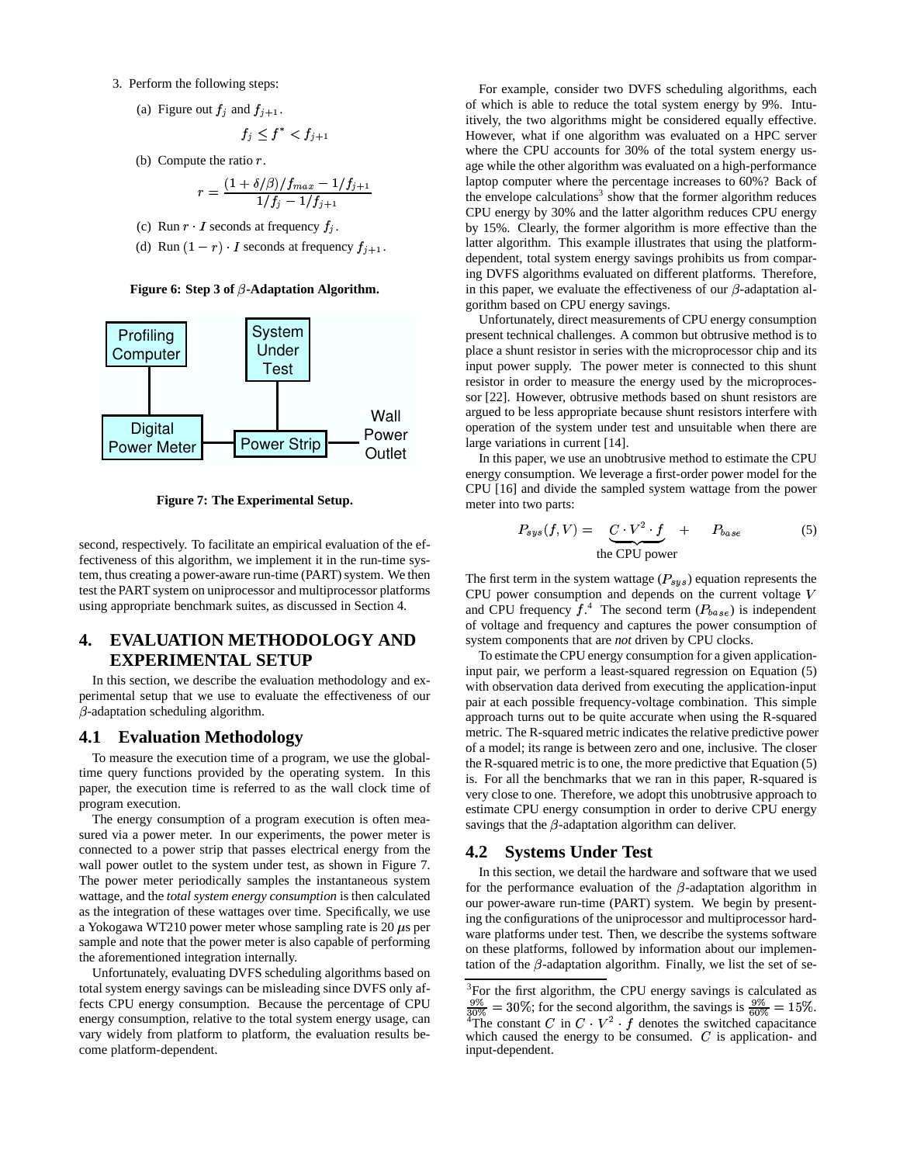- 3. Perform the following steps:
	- (a) Figure out  $f_j$  and  $f_{j+1}$ .

$$
f_j \leq f^* < f_{j+1}
$$

(b) Compute the ratio  $r$ .

$$
r=\frac{(1+\delta/\beta)/f_{max}-1/f_{j+1}}{1/f_j-1/f_{j+1}}
$$

- (c) Run  $r \cdot I$  seconds at frequency  $f_i$ .
- (d) Run  $(1 r)$  I seconds at frequency  $f_{j+1}$ .





**Figure 7: The Experimental Setup.**

second, respectively. To facilitate an empirical evaluation of the effectiveness of this algorithm, we implement it in the run-time system, thus creating a power-aware run-time (PART) system. We then test the PART system on uniprocessor and multiprocessor platforms using appropriate benchmark suites, as discussed in Section 4.

# **4. EVALUATION METHODOLOGY AND EXPERIMENTAL SETUP**

In this section, we describe the evaluation methodology and experimental setup that we use to evaluate the effectiveness of our  $\beta$ -adaptation scheduling algorithm.

## **4.1 Evaluation Methodology**

To measure the execution time of a program, we use the globaltime query functions provided by the operating system. In this paper, the execution time is referred to as the wall clock time of program execution.

The energy consumption of a program execution is often measured via a power meter. In our experiments, the power meter is connected to a power strip that passes electrical energy from the wall power outlet to the system under test, as shown in Figure 7. The power meter periodically samples the instantaneous system wattage, and the *total system energy consumption* is then calculated as the integration of these wattages over time. Specifically, we use a Yokogawa WT210 power meter whose sampling rate is  $20 \mu s$  per sample and note that the power meter is also capable of performing the aforementioned integration internally.

Unfortunately, evaluating DVFS scheduling algorithms based on total system energy savings can be misleading since DVFS only affects CPU energy consumption. Because the percentage of CPU energy consumption, relative to the total system energy usage, can vary widely from platform to platform, the evaluation results become platform-dependent.

For example, consider two DVFS scheduling algorithms, each of which is able to reduce the total system energy by 9%. Intuitively, the two algorithms might be considered equally effective. However, what if one algorithm was evaluated on a HPC server where the CPU accounts for 30% of the total system energy usage while the other algorithm was evaluated on a high-performance laptop computer where the percentage increases to 60%? Back of the envelope calculations<sup>3</sup> show that the former algorithm reduces CPU energy by 30% and the latter algorithm reduces CPU energy by 15%. Clearly, the former algorithm is more effective than the latter algorithm. This example illustrates that using the platformdependent, total system energy savings prohibits us from comparing DVFS algorithms evaluated on different platforms. Therefore, in this paper, we evaluate the effectiveness of our  $\beta$ -adaptation algorithm based on CPU energy savings.

Unfortunately, direct measurements of CPU energy consumption present technical challenges. A common but obtrusive method is to place a shunt resistor in series with the microprocessor chip and its input power supply. The power meter is connected to this shunt resistor in order to measure the energy used by the microprocessor [22]. However, obtrusive methods based on shunt resistors are argued to be less appropriate because shunt resistors interfere with operation of the system under test and unsuitable when there are large variations in current [14].

In this paper, we use an unobtrusive method to estimate the CPU energy consumption. We leverage a first-order power model for the CPU [16] and divide the sampled system wattage from the power meter into two parts:

$$
P_{sys}(f, V) = \underbrace{C \cdot V^2 \cdot f}_{\text{the CPU power}} + P_{base}
$$
 (5)

The first term in the system wattage ( $P_{sys}$ ) equation represents the CPU power consumption and depends on the current voltage  $V$ and CPU frequency  $f^4$ . The second term  $(P_{base})$  is independent of voltage and frequency and captures the power consumption of system components that are *not* driven by CPU clocks.

To estimate the CPU energy consumption for a given applicationinput pair, we perform a least-squared regression on Equation (5) with observation data derived from executing the application-input pair at each possible frequency-voltage combination. This simple approach turns out to be quite accurate when using the R-squared metric. The R-squared metric indicates the relative predictive power of a model; its range is between zero and one, inclusive. The closer the R-squared metric is to one, the more predictive that Equation (5) is. For all the benchmarks that we ran in this paper, R-squared is very close to one. Therefore, we adopt this unobtrusive approach to estimate CPU energy consumption in order to derive CPU energy savings that the  $\beta$ -adaptation algorithm can deliver.

## **4.2 Systems Under Test**

In this section, we detail the hardware and software that we used for the performance evaluation of the  $\beta$ -adaptation algorithm in our power-aware run-time (PART) system. We begin by presenting the configurations of the uniprocessor and multiprocessor hardware platforms under test. Then, we describe the systems software on these platforms, followed by information about our implementation of the  $\beta$ -adaptation algorithm. Finally, we list the set of se-

<sup>&</sup>lt;sup>3</sup>For the first algorithm, the CPU energy savings is calculated as  $\frac{9\%}{30\%}$  = 30%; for the second algorithm, the savings is  $\frac{9\%}{60\%}$  = 15%. <sup>4</sup>The constant C in C  $V^2$  f denotes the switched capacitance which caused the energy to be consumed.  $C$  is application- and input-dependent.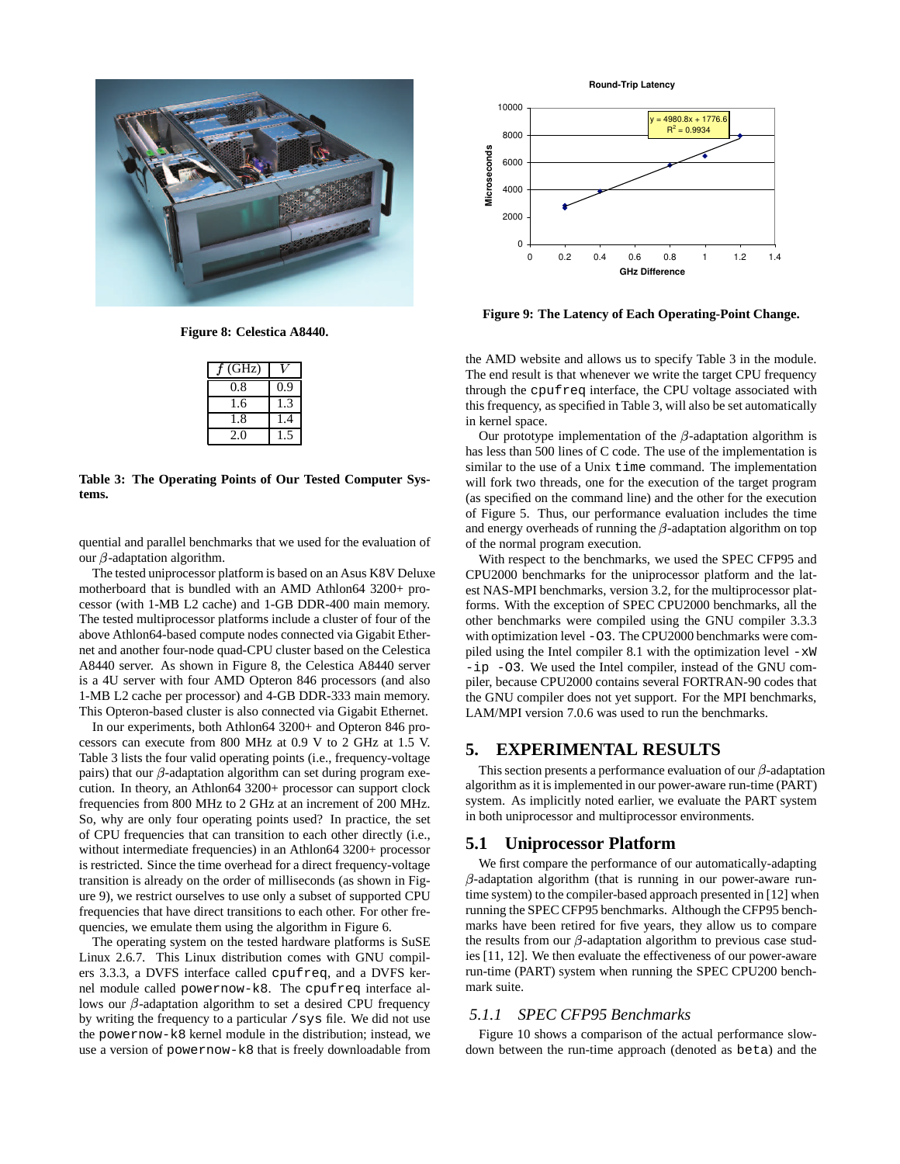

**Figure 8: Celestica A8440.**

| (GHz) |     |
|-------|-----|
| 0.8   | 0.9 |
| 1.6   |     |
| 1.8   |     |
| 2.0   |     |

**Table 3: The Operating Points of Our Tested Computer Systems.**

quential and parallel benchmarks that we used for the evaluation of our  $\beta$ -adaptation algorithm.

The tested uniprocessor platform is based on an Asus K8V Deluxe motherboard that is bundled with an AMD Athlon64 3200+ processor (with 1-MB L2 cache) and 1-GB DDR-400 main memory. The tested multiprocessor platforms include a cluster of four of the above Athlon64-based compute nodes connected via Gigabit Ethernet and another four-node quad-CPU cluster based on the Celestica A8440 server. As shown in Figure 8, the Celestica A8440 server is a 4U server with four AMD Opteron 846 processors (and also 1-MB L2 cache per processor) and 4-GB DDR-333 main memory. This Opteron-based cluster is also connected via Gigabit Ethernet.

In our experiments, both Athlon64 3200+ and Opteron 846 processors can execute from 800 MHz at 0.9 V to 2 GHz at 1.5 V. Table 3 lists the four valid operating points (i.e., frequency-voltage pairs) that our  $\beta$ -adaptation algorithm can set during program execution. In theory, an Athlon64 3200+ processor can support clock frequencies from 800 MHz to 2 GHz at an increment of 200 MHz. So, why are only four operating points used? In practice, the set of CPU frequencies that can transition to each other directly (i.e., without intermediate frequencies) in an Athlon64 3200+ processor is restricted. Since the time overhead for a direct frequency-voltage transition is already on the order of milliseconds (as shown in Figure 9), we restrict ourselves to use only a subset of supported CPU frequencies that have direct transitions to each other. For other frequencies, we emulate them using the algorithm in Figure 6.

The operating system on the tested hardware platforms is SuSE Linux 2.6.7. This Linux distribution comes with GNU compilers 3.3.3, a DVFS interface called cpufreq, and a DVFS kernel module called powernow-k8. The cpufreq interface allows our  $\beta$ -adaptation algorithm to set a desired CPU frequency by writing the frequency to a particular /sys file. We did not use the powernow-k8 kernel module in the distribution; instead, we use a version of powernow-k8 that is freely downloadable from



**Figure 9: The Latency of Each Operating-Point Change.**

the AMD website and allows us to specify Table 3 in the module. The end result is that whenever we write the target CPU frequency through the cpufreq interface, the CPU voltage associated with this frequency, as specified in Table 3, will also be set automatically in kernel space.

Our prototype implementation of the  $\beta$ -adaptation algorithm is has less than 500 lines of C code. The use of the implementation is similar to the use of a Unix time command. The implementation will fork two threads, one for the execution of the target program (as specified on the command line) and the other for the execution of Figure 5. Thus, our performance evaluation includes the time and energy overheads of running the  $\beta$ -adaptation algorithm on top of the normal program execution.

With respect to the benchmarks, we used the SPEC CFP95 and CPU2000 benchmarks for the uniprocessor platform and the latest NAS-MPI benchmarks, version 3.2, for the multiprocessor platforms. With the exception of SPEC CPU2000 benchmarks, all the other benchmarks were compiled using the GNU compiler 3.3.3 with optimization level -O3. The CPU2000 benchmarks were compiled using the Intel compiler 8.1 with the optimization level  $-xw$ -ip -O3. We used the Intel compiler, instead of the GNU compiler, because CPU2000 contains several FORTRAN-90 codes that the GNU compiler does not yet support. For the MPI benchmarks, LAM/MPI version 7.0.6 was used to run the benchmarks.

## **5. EXPERIMENTAL RESULTS**

This section presents a performance evaluation of our  $\beta$ -adaptation algorithm as it is implemented in our power-aware run-time (PART) system. As implicitly noted earlier, we evaluate the PART system in both uniprocessor and multiprocessor environments.

#### **5.1 Uniprocessor Platform**

We first compare the performance of our automatically-adapting  $\beta$ -adaptation algorithm (that is running in our power-aware runtime system) to the compiler-based approach presented in [12] when running the SPEC CFP95 benchmarks. Although the CFP95 benchmarks have been retired for five years, they allow us to compare the results from our  $\beta$ -adaptation algorithm to previous case studies [11, 12]. We then evaluate the effectiveness of our power-aware run-time (PART) system when running the SPEC CPU200 benchmark suite.

## *5.1.1 SPEC CFP95 Benchmarks*

Figure 10 shows a comparison of the actual performance slowdown between the run-time approach (denoted as beta) and the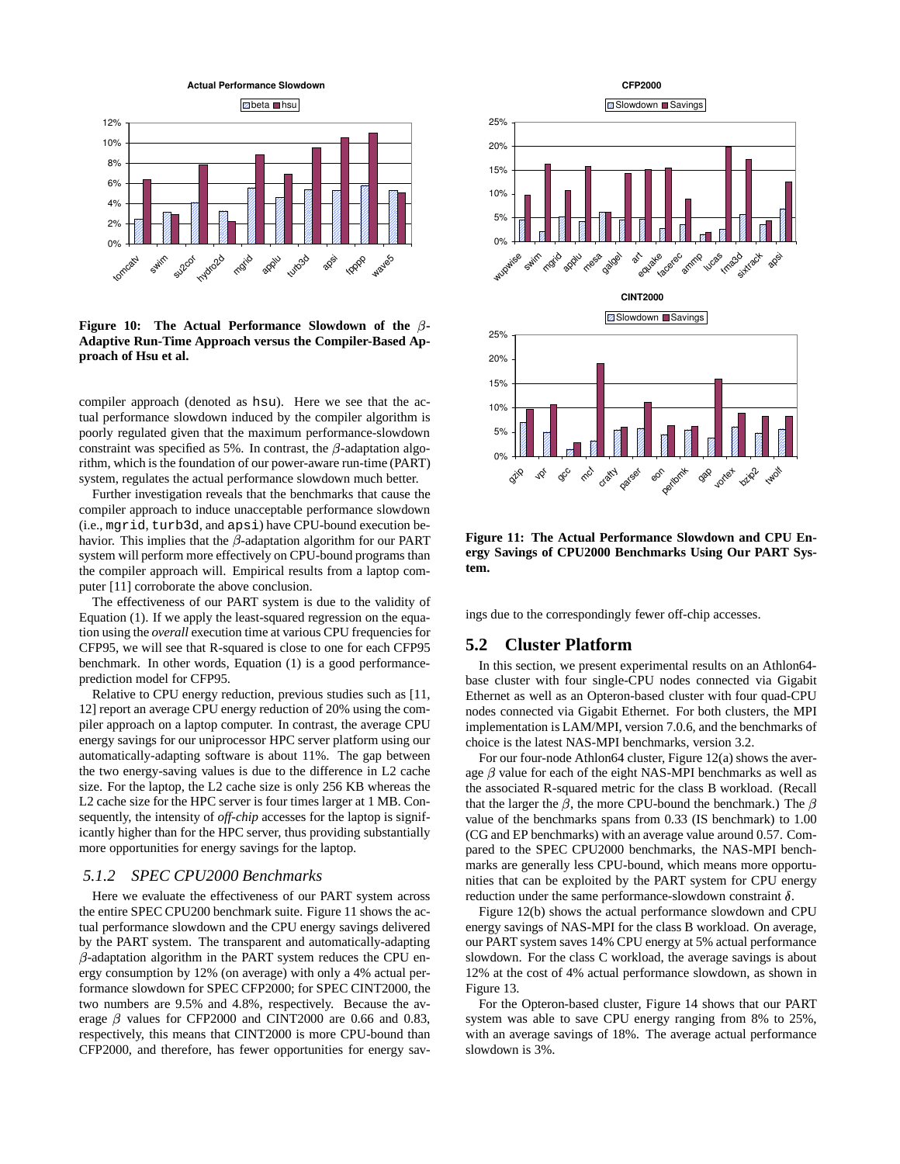

**Figure 10: The Actual Performance Slowdown of the**  $\beta$ **-Adaptive Run-Time Approach versus the Compiler-Based Approach of Hsu et al.**

compiler approach (denoted as hsu). Here we see that the actual performance slowdown induced by the compiler algorithm is poorly regulated given that the maximum performance-slowdown constraint was specified as 5%. In contrast, the  $\beta$ -adaptation algorithm, which is the foundation of our power-aware run-time (PART) system, regulates the actual performance slowdown much better.

Further investigation reveals that the benchmarks that cause the compiler approach to induce unacceptable performance slowdown (i.e., mgrid, turb3d, and apsi) have CPU-bound execution behavior. This implies that the  $\beta$ -adaptation algorithm for our PART system will perform more effectively on CPU-bound programs than the compiler approach will. Empirical results from a laptop computer [11] corroborate the above conclusion.

The effectiveness of our PART system is due to the validity of Equation (1). If we apply the least-squared regression on the equation using the *overall* execution time at various CPU frequencies for CFP95, we will see that R-squared is close to one for each CFP95 benchmark. In other words, Equation (1) is a good performanceprediction model for CFP95.

Relative to CPU energy reduction, previous studies such as [11, 12] report an average CPU energy reduction of 20% using the compiler approach on a laptop computer. In contrast, the average CPU energy savings for our uniprocessor HPC server platform using our automatically-adapting software is about 11%. The gap between the two energy-saving values is due to the difference in L2 cache size. For the laptop, the L2 cache size is only 256 KB whereas the L2 cache size for the HPC server is four times larger at 1 MB. Consequently, the intensity of *off-chip* accesses for the laptop is significantly higher than for the HPC server, thus providing substantially more opportunities for energy savings for the laptop.

#### *5.1.2 SPEC CPU2000 Benchmarks*

Here we evaluate the effectiveness of our PART system across the entire SPEC CPU200 benchmark suite. Figure 11 shows the actual performance slowdown and the CPU energy savings delivered by the PART system. The transparent and automatically-adapting  $\beta$ -adaptation algorithm in the PART system reduces the CPU energy consumption by 12% (on average) with only a 4% actual performance slowdown for SPEC CFP2000; for SPEC CINT2000, the two numbers are 9.5% and 4.8%, respectively. Because the average  $\beta$  values for CFP2000 and CINT2000 are 0.66 and 0.83, respectively, this means that CINT2000 is more CPU-bound than CFP2000, and therefore, has fewer opportunities for energy sav-



**Figure 11: The Actual Performance Slowdown and CPU Energy Savings of CPU2000 Benchmarks Using Our PART System.**

ings due to the correspondingly fewer off-chip accesses.

#### **5.2 Cluster Platform**

In this section, we present experimental results on an Athlon64 base cluster with four single-CPU nodes connected via Gigabit Ethernet as well as an Opteron-based cluster with four quad-CPU nodes connected via Gigabit Ethernet. For both clusters, the MPI implementation is LAM/MPI, version 7.0.6, and the benchmarks of choice is the latest NAS-MPI benchmarks, version 3.2.

For our four-node Athlon64 cluster, Figure 12(a) shows the average  $\beta$  value for each of the eight NAS-MPI benchmarks as well as the associated R-squared metric for the class B workload. (Recall that the larger the  $\beta$ , the more CPU-bound the benchmark.) The  $\beta$ value of the benchmarks spans from 0.33 (IS benchmark) to 1.00 (CG and EP benchmarks) with an average value around 0.57. Compared to the SPEC CPU2000 benchmarks, the NAS-MPI benchmarks are generally less CPU-bound, which means more opportunities that can be exploited by the PART system for CPU energy reduction under the same performance-slowdown constraint  $\delta$ .

Figure 12(b) shows the actual performance slowdown and CPU energy savings of NAS-MPI for the class B workload. On average, our PART system saves 14% CPU energy at 5% actual performance slowdown. For the class C workload, the average savings is about 12% at the cost of 4% actual performance slowdown, as shown in Figure 13.

For the Opteron-based cluster, Figure 14 shows that our PART system was able to save CPU energy ranging from 8% to 25%, with an average savings of 18%. The average actual performance slowdown is 3%.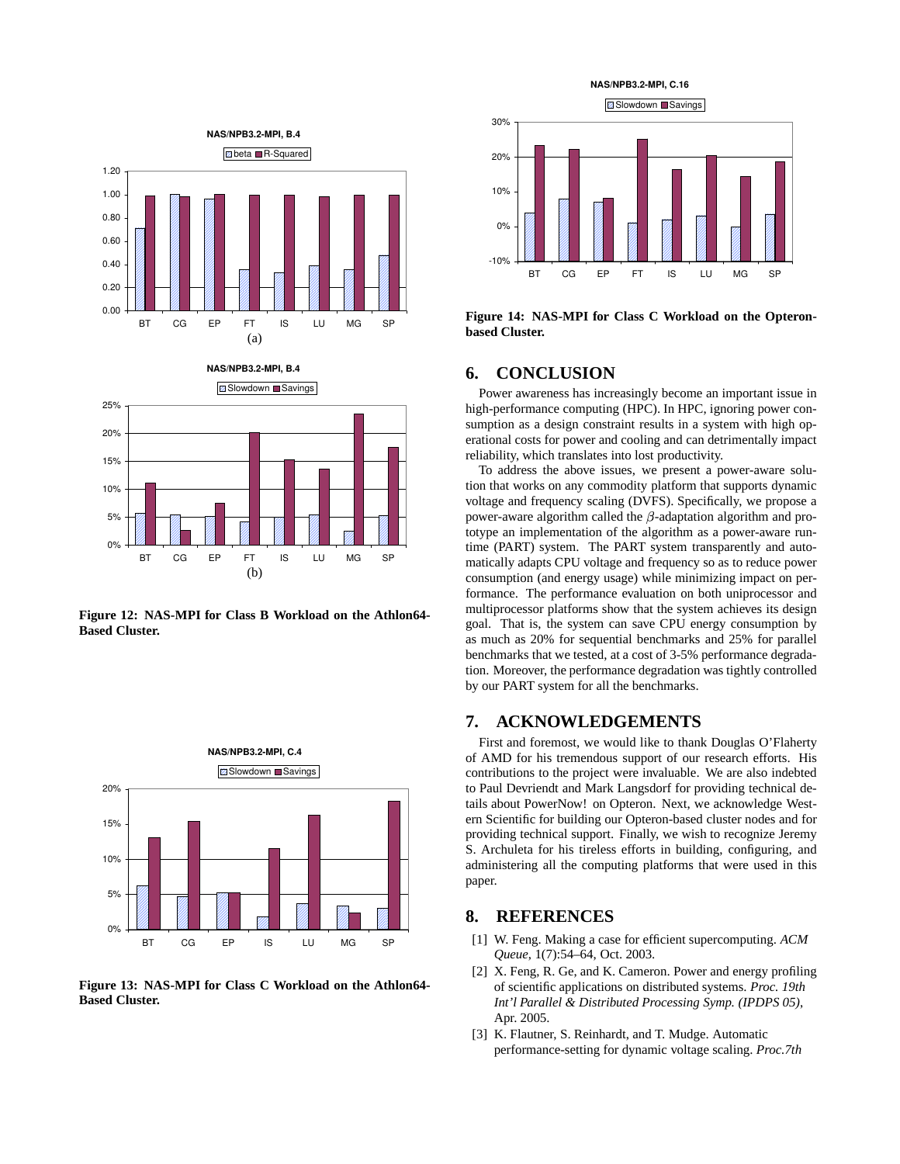

**Figure 12: NAS-MPI for Class B Workload on the Athlon64- Based Cluster.**



**Figure 13: NAS-MPI for Class C Workload on the Athlon64- Based Cluster.**



**Figure 14: NAS-MPI for Class C Workload on the Opteronbased Cluster.**

# **6. CONCLUSION**

Power awareness has increasingly become an important issue in high-performance computing (HPC). In HPC, ignoring power consumption as a design constraint results in a system with high operational costs for power and cooling and can detrimentally impact reliability, which translates into lost productivity.

To address the above issues, we present a power-aware solution that works on any commodity platform that supports dynamic voltage and frequency scaling (DVFS). Specifically, we propose a power-aware algorithm called the  $\beta$ -adaptation algorithm and prototype an implementation of the algorithm as a power-aware runtime (PART) system. The PART system transparently and automatically adapts CPU voltage and frequency so as to reduce power consumption (and energy usage) while minimizing impact on performance. The performance evaluation on both uniprocessor and multiprocessor platforms show that the system achieves its design goal. That is, the system can save CPU energy consumption by as much as 20% for sequential benchmarks and 25% for parallel benchmarks that we tested, at a cost of 3-5% performance degradation. Moreover, the performance degradation was tightly controlled by our PART system for all the benchmarks.

## **7. ACKNOWLEDGEMENTS**

First and foremost, we would like to thank Douglas O'Flaherty of AMD for his tremendous support of our research efforts. His contributions to the project were invaluable. We are also indebted to Paul Devriendt and Mark Langsdorf for providing technical details about PowerNow! on Opteron. Next, we acknowledge Western Scientific for building our Opteron-based cluster nodes and for providing technical support. Finally, we wish to recognize Jeremy S. Archuleta for his tireless efforts in building, configuring, and administering all the computing platforms that were used in this paper.

## **8. REFERENCES**

- [1] W. Feng. Making a case for efficient supercomputing. *ACM Queue*, 1(7):54–64, Oct. 2003.
- [2] X. Feng, R. Ge, and K. Cameron. Power and energy profiling of scientific applications on distributed systems. *Proc. 19th Int'l Parallel & Distributed Processing Symp. (IPDPS 05)*, Apr. 2005.
- [3] K. Flautner, S. Reinhardt, and T. Mudge. Automatic performance-setting for dynamic voltage scaling. *Proc.7th*